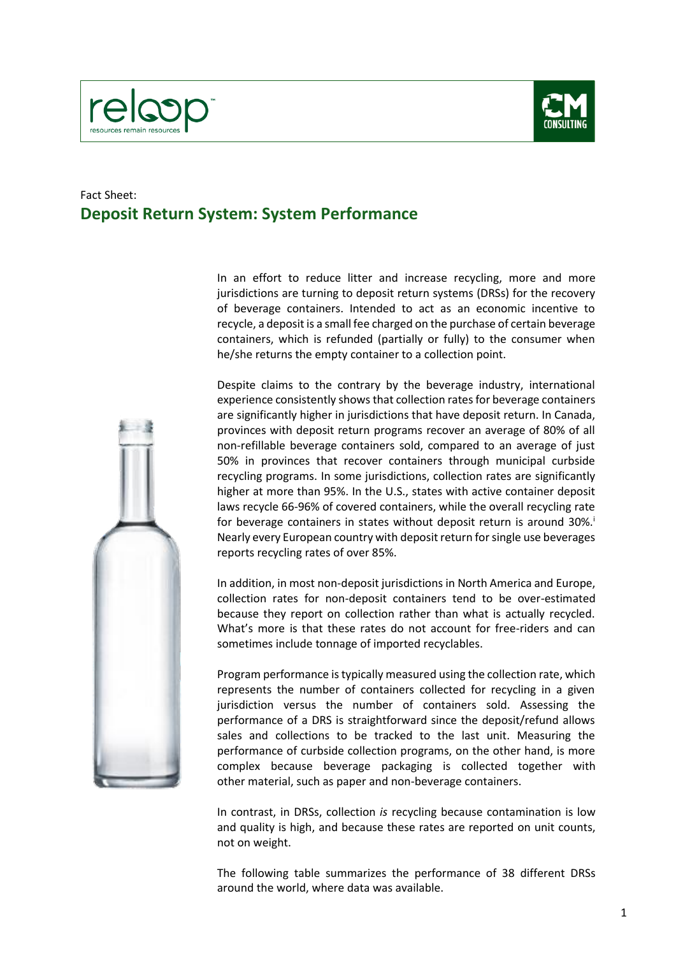



## Fact Sheet: **Deposit Return System: System Performance**

In an effort to reduce litter and increase recycling, more and more jurisdictions are turning to deposit return systems (DRSs) for the recovery of beverage containers. Intended to act as an economic incentive to recycle, a deposit is a small fee charged on the purchase of certain beverage containers, which is refunded (partially or fully) to the consumer when he/she returns the empty container to a collection point.



Despite claims to the contrary by the beverage industry, international experience consistently shows that collection rates for beverage containers are significantly higher in jurisdictions that have deposit return. In Canada, provinces with deposit return programs recover an average of 80% of all non-refillable beverage containers sold, compared to an average of just 50% in provinces that recover containers through municipal curbside recycling programs. In some jurisdictions, collection rates are significantly higher at more than 95%. In the U.S., states with active container deposit laws recycle 66-96% of covered containers, while the overall recycling rate for beverage containers in states without deposit return is around  $30\%$ . Nearly every European country with deposit return for single use beverages reports recycling rates of over 85%.

In addition, in most non-deposit jurisdictions in North America and Europe, collection rates for non-deposit containers tend to be over-estimated because they report on collection rather than what is actually recycled. What's more is that these rates do not account for free-riders and can sometimes include tonnage of imported recyclables.

Program performance is typically measured using the collection rate, which represents the number of containers collected for recycling in a given jurisdiction versus the number of containers sold. Assessing the performance of a DRS is straightforward since the deposit/refund allows sales and collections to be tracked to the last unit. Measuring the performance of curbside collection programs, on the other hand, is more complex because beverage packaging is collected together with other material, such as paper and non-beverage containers.

In contrast, in DRSs, collection *is* recycling because contamination is low and quality is high, and because these rates are reported on unit counts, not on weight.

The following table summarizes the performance of 38 different DRSs around the world, where data was available.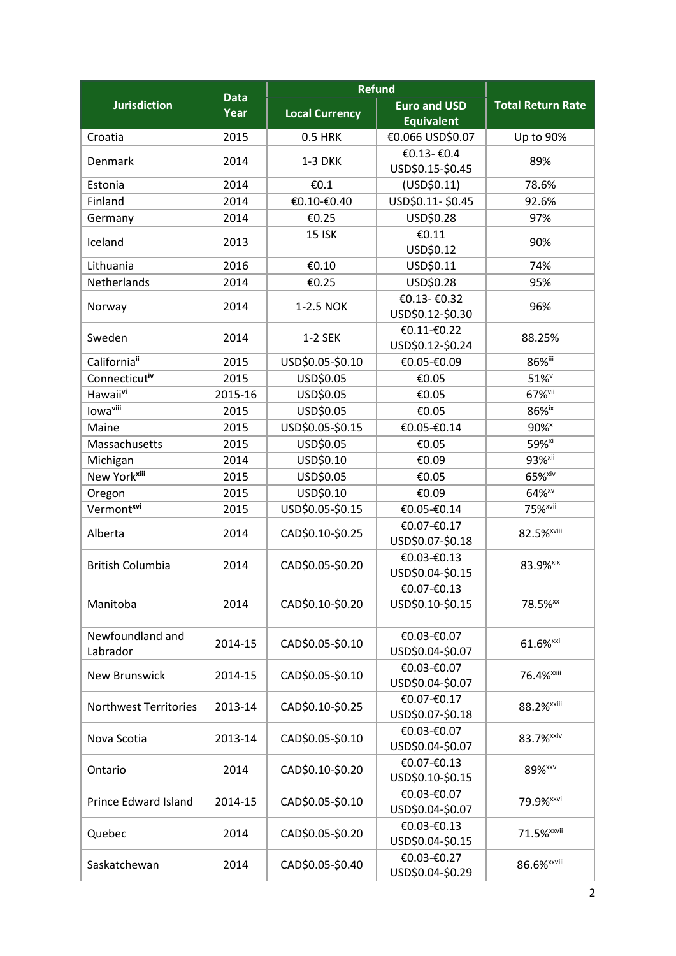|                              | <b>Data</b> | <b>Refund</b>         |                                  |                          |
|------------------------------|-------------|-----------------------|----------------------------------|--------------------------|
| <b>Jurisdiction</b>          | Year        | <b>Local Currency</b> | <b>Euro and USD</b>              | <b>Total Return Rate</b> |
|                              |             |                       | <b>Equivalent</b>                |                          |
| Croatia                      | 2015        | <b>0.5 HRK</b>        | €0.066 USD\$0.07                 | Up to 90%                |
| Denmark                      | 2014        | <b>1-3 DKK</b>        | €0.13-€0.4<br>USD\$0.15-\$0.45   | 89%                      |
| Estonia                      | 2014        | €0.1                  | (USD\$0.11)                      | 78.6%                    |
| Finland                      | 2014        | €0.10-€0.40           | USD\$0.11-\$0.45                 | 92.6%                    |
| Germany                      | 2014        | €0.25                 | USD\$0.28                        | 97%                      |
| Iceland                      | 2013        | <b>15 ISK</b>         | €0.11<br>USD\$0.12               | 90%                      |
| Lithuania                    | 2016        | €0.10                 | USD\$0.11                        | 74%                      |
| Netherlands                  | 2014        | €0.25                 | USD\$0.28                        | 95%                      |
| Norway                       | 2014        | 1-2.5 NOK             | €0.13- €0.32<br>USD\$0.12-\$0.30 | 96%                      |
| Sweden                       | 2014        | 1-2 SEK               | €0.11-€0.22<br>USD\$0.12-\$0.24  | 88.25%                   |
| California"                  | 2015        | USD\$0.05-\$0.10      | €0.05-€0.09                      | 86%iii                   |
| Connecticutiv                | 2015        | USD\$0.05             | €0.05                            | 51% <sup>v</sup>         |
| Hawaiivi                     | 2015-16     | USD\$0.05             | €0.05                            | 67% <sup>vii</sup>       |
| lowa <sup>viii</sup>         | 2015        | USD\$0.05             | €0.05                            | 86%ix                    |
| Maine                        | 2015        | USD\$0.05-\$0.15      | €0.05-€0.14                      | 90% <sup>x</sup>         |
| Massachusetts                | 2015        | USD\$0.05             | €0.05                            | 59% <sup>xi</sup>        |
| Michigan                     | 2014        | USD\$0.10             | €0.09                            | 93% <sup>xii</sup>       |
| New York <sup>xiii</sup>     | 2015        | USD\$0.05             | €0.05                            | 65% <sup>xiv</sup>       |
| Oregon                       | 2015        | USD\$0.10             | €0.09                            | 64% <sup>xv</sup>        |
| Vermont <sup>xvi</sup>       | 2015        | USD\$0.05-\$0.15      | €0.05-€0.14                      | 75% <sup>xvii</sup>      |
| Alberta                      | 2014        | CAD\$0.10-\$0.25      | €0.07-€0.17<br>USD\$0.07-\$0.18  | 82.5% <sup>xviii</sup>   |
| <b>British Columbia</b>      | 2014        | CAD\$0.05-\$0.20      | €0.03-€0.13<br>USD\$0.04-\$0.15  | 83.9% <sup>xix</sup>     |
| Manitoba                     | 2014        | CAD\$0.10-\$0.20      | €0.07-€0.13<br>USD\$0.10-\$0.15  | 78.5% <sup>xx</sup>      |
| Newfoundland and<br>Labrador | 2014-15     | CAD\$0.05-\$0.10      | €0.03-€0.07<br>USD\$0.04-\$0.07  | 61.6% <sup>xxi</sup>     |
| <b>New Brunswick</b>         | 2014-15     | CAD\$0.05-\$0.10      | €0.03-€0.07<br>USD\$0.04-\$0.07  | 76.4% <sup>xxii</sup>    |
| <b>Northwest Territories</b> | 2013-14     | CAD\$0.10-\$0.25      | €0.07-€0.17<br>USD\$0.07-\$0.18  | 88.2%**iii               |
| Nova Scotia                  | 2013-14     | CAD\$0.05-\$0.10      | €0.03-€0.07<br>USD\$0.04-\$0.07  | 83.7% <sup>xxiv</sup>    |
| Ontario                      | 2014        | CAD\$0.10-\$0.20      | €0.07-€0.13<br>USD\$0.10-\$0.15  | 89% <sup>xxv</sup>       |
| Prince Edward Island         | 2014-15     | CAD\$0.05-\$0.10      | €0.03-€0.07<br>USD\$0.04-\$0.07  | 79.9% <sup>xxvi</sup>    |
| Quebec                       | 2014        | CAD\$0.05-\$0.20      | €0.03-€0.13<br>USD\$0.04-\$0.15  | 71.5% <sup>xxvii</sup>   |
| Saskatchewan                 | 2014        | CAD\$0.05-\$0.40      | €0.03-€0.27<br>USD\$0.04-\$0.29  | 86.6% <sup>xxviii</sup>  |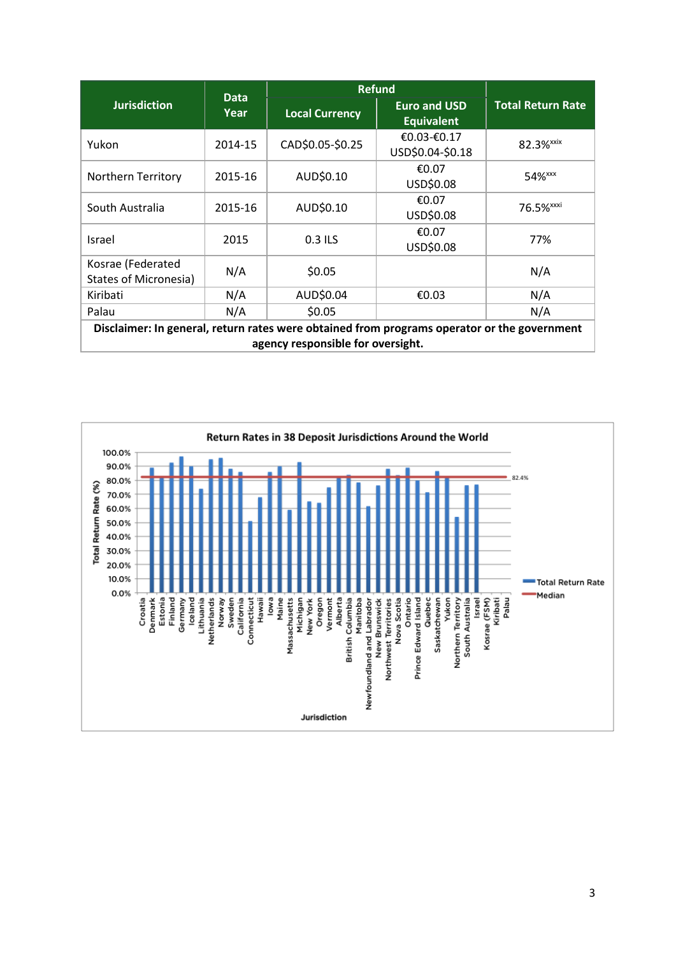| <b>Jurisdiction</b>                                                                                                              | <b>Data</b><br>Year | <b>Refund</b>         |                                          |                          |  |  |
|----------------------------------------------------------------------------------------------------------------------------------|---------------------|-----------------------|------------------------------------------|--------------------------|--|--|
|                                                                                                                                  |                     | <b>Local Currency</b> | <b>Euro and USD</b><br><b>Equivalent</b> | <b>Total Return Rate</b> |  |  |
| Yukon                                                                                                                            | 2014-15             | CAD\$0.05-\$0.25      | €0.03-€0.17<br>USD\$0.04-\$0.18          | 82.3% <sup>xxix</sup>    |  |  |
| <b>Northern Territory</b>                                                                                                        | 2015-16             | AUD\$0.10             | €0.07<br>USD\$0.08                       | 54% <sup>xxx</sup>       |  |  |
| South Australia                                                                                                                  | 2015-16             | AUD\$0.10             | €0.07<br>USD\$0.08                       | 76.5% <sup>xxxi</sup>    |  |  |
| <b>Israel</b>                                                                                                                    | 2015                | 0.3 ILS               | €0.07<br>USD\$0.08                       | 77%                      |  |  |
| Kosrae (Federated<br><b>States of Micronesia)</b>                                                                                | N/A                 | \$0.05                |                                          | N/A                      |  |  |
| Kiribati                                                                                                                         | N/A                 | AUD\$0.04             | €0.03                                    | N/A                      |  |  |
| Palau                                                                                                                            | N/A                 | \$0.05                |                                          | N/A                      |  |  |
| Disclaimer: In general, return rates were obtained from programs operator or the government<br>agency responsible for oversight. |                     |                       |                                          |                          |  |  |

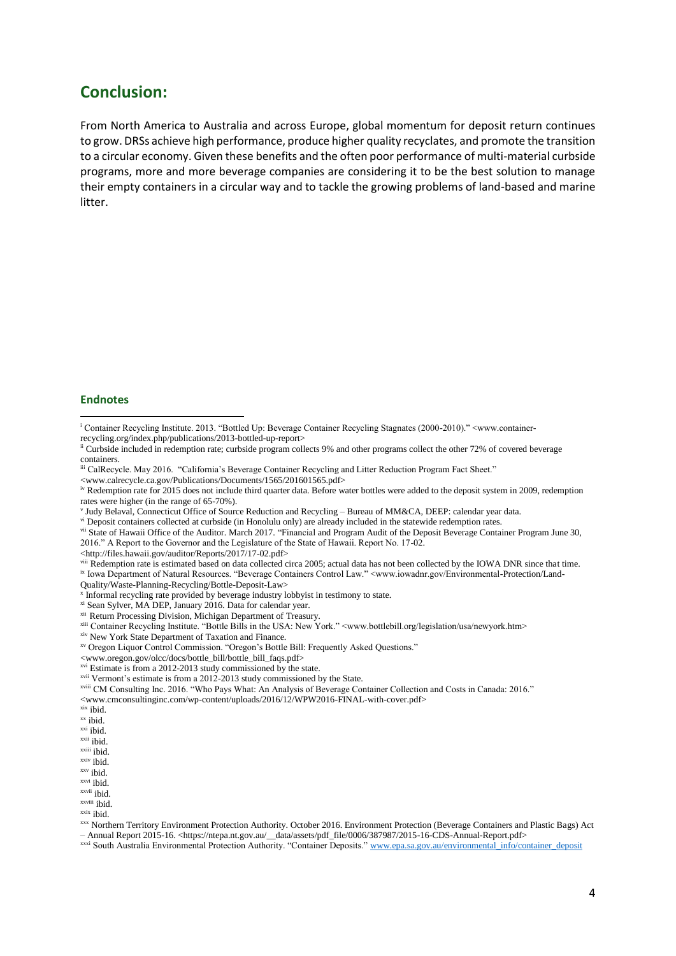## **Conclusion:**

From North America to Australia and across Europe, global momentum for deposit return continues to grow. DRSs achieve high performance, produce higher quality recyclates, and promote the transition to a circular economy. Given these benefits and the often poor performance of multi-material curbside programs, more and more beverage companies are considering it to be the best solution to manage their empty containers in a circular way and to tackle the growing problems of land-based and marine litter.

## **Endnotes**

**.** 

viii Redemption rate is estimated based on data collected circa 2005; actual data has not been collected by the IOWA DNR since that time. ix Iowa Department of Natural Resources. "Beverage Containers Control Law." <www.iowadnr.gov/Environmental-Protection/Land-

Quality/Waste-Planning-Recycling/Bottle-Deposit-Law>

x Informal recycling rate provided by beverage industry lobbyist in testimony to state.

xi Sean Sylver, MA DEP, January 2016. Data for calendar year.

<www.cmconsultinginc.com/wp-content/uploads/2016/12/WPW2016-FINAL-with-cover.pdf>

xxvii ibid.

xxx Northern Territory Environment Protection Authority. October 2016. Environment Protection (Beverage Containers and Plastic Bags) Act – Annual Report 2015-16. <https://ntepa.nt.gov.au/\_\_data/assets/pdf\_file/0006/387987/2015-16-CDS-Annual-Report.pdf>

xxxi South Australia Environmental Protection Authority. "Container Deposits." [www.epa.sa.gov.au/environmental\\_info/container\\_deposit](http://www.epa.sa.gov.au/environmental_info/container_deposit)

<sup>i</sup> Container Recycling Institute. 2013. "Bottled Up: Beverage Container Recycling Stagnates (2000-2010)." <www.containerrecycling.org/index.php/publications/2013-bottled-up-report>

ii Curbside included in redemption rate; curbside program collects 9% and other programs collect the other 72% of covered beverage containers.

iii CalRecycle. May 2016. "California's Beverage Container Recycling and Litter Reduction Program Fact Sheet."

<sup>&</sup>lt;www.calrecycle.ca.gov/Publications/Documents/1565/201601565.pdf>

iv Redemption rate for 2015 does not include third quarter data. Before water bottles were added to the deposit system in 2009, redemption rates were higher (in the range of 65-70%).

V Judy Belaval, Connecticut Office of Source Reduction and Recycling - Bureau of MM&CA, DEEP: calendar year data.

vi Deposit containers collected at curbside (in Honolulu only) are already included in the statewide redemption rates.

vii State of Hawaii Office of the Auditor. March 2017. "Financial and Program Audit of the Deposit Beverage Container Program June 30, 2016." A Report to the Governor and the Legislature of the State of Hawaii. Report No. 17-02.

<sup>&</sup>lt;http://files.hawaii.gov/auditor/Reports/2017/17-02.pdf>

xii Return Processing Division, Michigan Department of Treasury.

xiii Container Recycling Institute. "Bottle Bills in the USA: New York." <www.bottlebill.org/legislation/usa/newyork.htm>

xiv New York State Department of Taxation and Finance.

xv Oregon Liquor Control Commission. "Oregon's Bottle Bill: Frequently Asked Questions."

<sup>&</sup>lt;www.oregon.gov/olcc/docs/bottle\_bill/bottle\_bill\_faqs.pdf>

<sup>&</sup>lt;sup>xvi</sup> Estimate is from a 2012-2013 study commissioned by the state.

xvii Vermont's estimate is from a 2012-2013 study commissioned by the State.

xviii CM Consulting Inc. 2016. "Who Pays What: An Analysis of Beverage Container Collection and Costs in Canada: 2016."

xix ibid.

xx ibid.

xxi ibid.

xxii ibid.

xxiii ibid.

xxiv ibid.

xxv ibid.

xxvi ibid.

xxviii ibid.  $x$ <sup>xxix</sup> ibid.